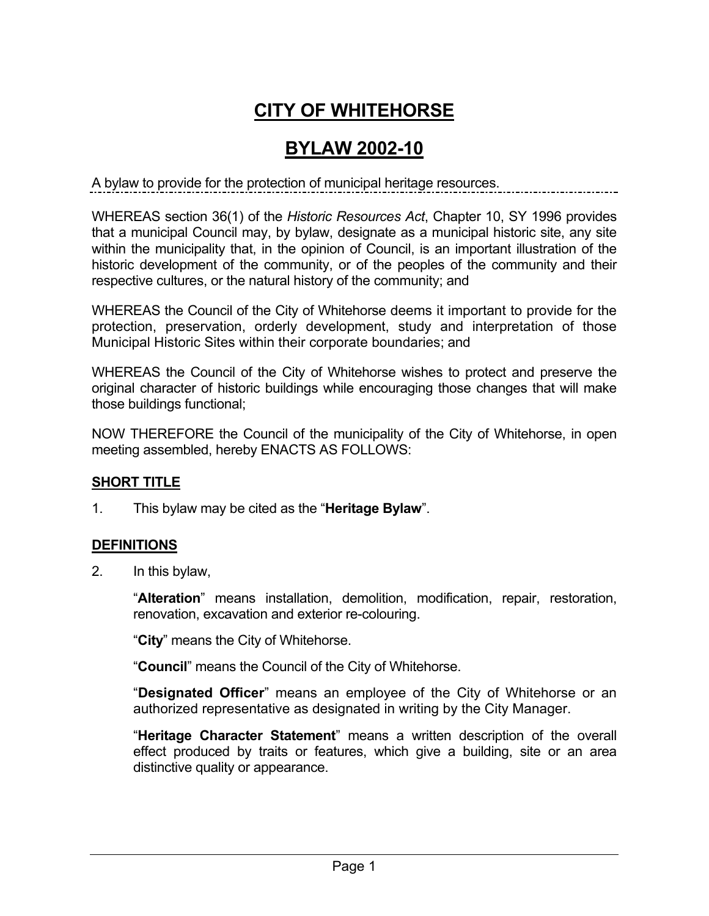# **CITY OF WHITEHORSE**

## **BYLAW 2002-10**

A bylaw to provide for the protection of municipal heritage resources.

WHEREAS section 36(1) of the *Historic Resources Act*, Chapter 10, SY 1996 provides that a municipal Council may, by bylaw, designate as a municipal historic site, any site within the municipality that, in the opinion of Council, is an important illustration of the historic development of the community, or of the peoples of the community and their respective cultures, or the natural history of the community; and

WHEREAS the Council of the City of Whitehorse deems it important to provide for the protection, preservation, orderly development, study and interpretation of those Municipal Historic Sites within their corporate boundaries; and

WHEREAS the Council of the City of Whitehorse wishes to protect and preserve the original character of historic buildings while encouraging those changes that will make those buildings functional;

NOW THEREFORE the Council of the municipality of the City of Whitehorse, in open meeting assembled, hereby ENACTS AS FOLLOWS:

### **SHORT TITLE**

1. This bylaw may be cited as the "**Heritage Bylaw**".

### **DEFINITIONS**

2. In this bylaw,

"**Alteration**" means installation, demolition, modification, repair, restoration, renovation, excavation and exterior re-colouring.

"**City**" means the City of Whitehorse.

"**Council**" means the Council of the City of Whitehorse.

"**Designated Officer**" means an employee of the City of Whitehorse or an authorized representative as designated in writing by the City Manager.

"**Heritage Character Statement**" means a written description of the overall effect produced by traits or features, which give a building, site or an area distinctive quality or appearance.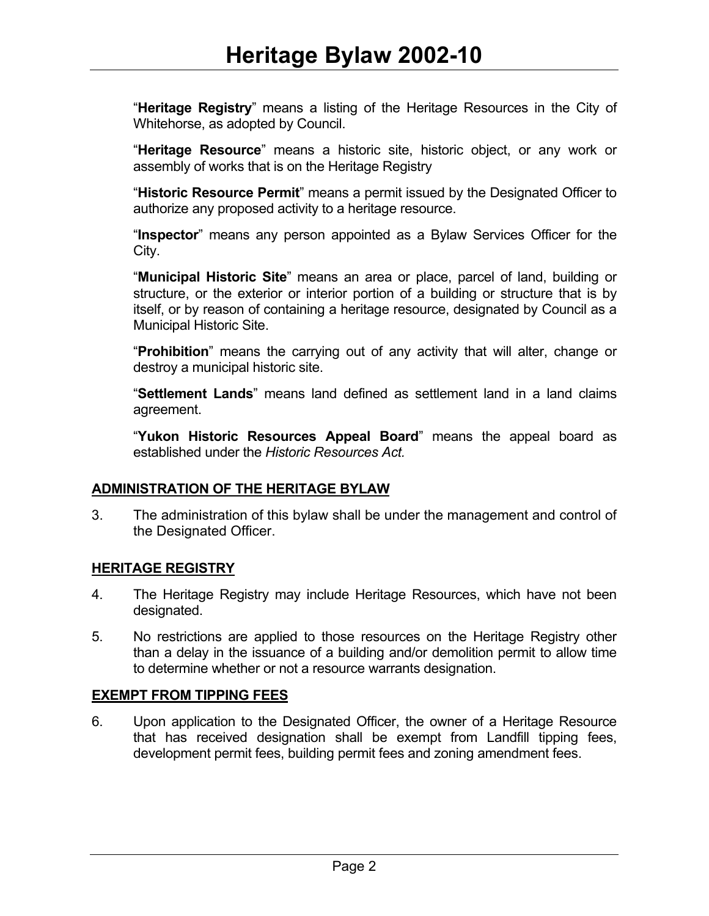"**Heritage Registry**" means a listing of the Heritage Resources in the City of Whitehorse, as adopted by Council.

"**Heritage Resource**" means a historic site, historic object, or any work or assembly of works that is on the Heritage Registry

"**Historic Resource Permit**" means a permit issued by the Designated Officer to authorize any proposed activity to a heritage resource.

"**Inspector**" means any person appointed as a Bylaw Services Officer for the City.

"**Municipal Historic Site**" means an area or place, parcel of land, building or structure, or the exterior or interior portion of a building or structure that is by itself, or by reason of containing a heritage resource, designated by Council as a Municipal Historic Site.

"**Prohibition**" means the carrying out of any activity that will alter, change or destroy a municipal historic site.

"**Settlement Lands**" means land defined as settlement land in a land claims agreement.

"**Yukon Historic Resources Appeal Board**" means the appeal board as established under the *Historic Resources Act.*

### **ADMINISTRATION OF THE HERITAGE BYLAW**

3. The administration of this bylaw shall be under the management and control of the Designated Officer.

#### **HERITAGE REGISTRY**

- 4. The Heritage Registry may include Heritage Resources, which have not been designated.
- 5. No restrictions are applied to those resources on the Heritage Registry other than a delay in the issuance of a building and/or demolition permit to allow time to determine whether or not a resource warrants designation.

### **EXEMPT FROM TIPPING FEES**

6. Upon application to the Designated Officer, the owner of a Heritage Resource that has received designation shall be exempt from Landfill tipping fees, development permit fees, building permit fees and zoning amendment fees.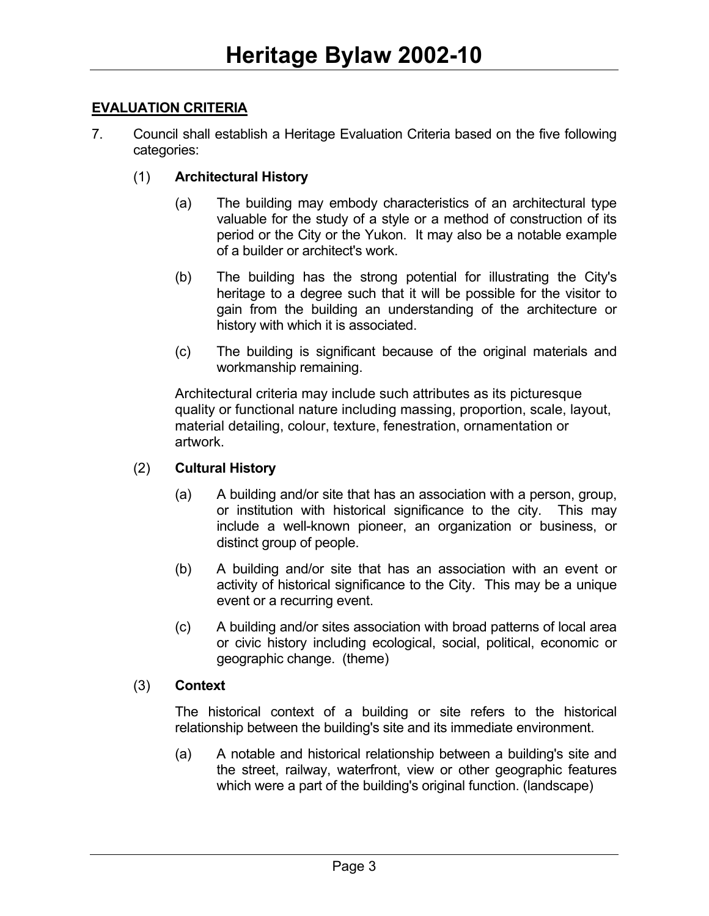#### **EVALUATION CRITERIA**

7. Council shall establish a Heritage Evaluation Criteria based on the five following categories:

#### (1) **Architectural History**

- (a) The building may embody characteristics of an architectural type valuable for the study of a style or a method of construction of its period or the City or the Yukon. It may also be a notable example of a builder or architect's work.
- (b) The building has the strong potential for illustrating the City's heritage to a degree such that it will be possible for the visitor to gain from the building an understanding of the architecture or history with which it is associated.
- (c) The building is significant because of the original materials and workmanship remaining.

Architectural criteria may include such attributes as its picturesque quality or functional nature including massing, proportion, scale, layout, material detailing, colour, texture, fenestration, ornamentation or artwork.

#### (2) **Cultural History**

- (a) A building and/or site that has an association with a person, group, or institution with historical significance to the city. This may include a well-known pioneer, an organization or business, or distinct group of people.
- (b) A building and/or site that has an association with an event or activity of historical significance to the City. This may be a unique event or a recurring event.
- (c) A building and/or sites association with broad patterns of local area or civic history including ecological, social, political, economic or geographic change. (theme)

#### (3) **Context**

The historical context of a building or site refers to the historical relationship between the building's site and its immediate environment.

(a) A notable and historical relationship between a building's site and the street, railway, waterfront, view or other geographic features which were a part of the building's original function. (landscape)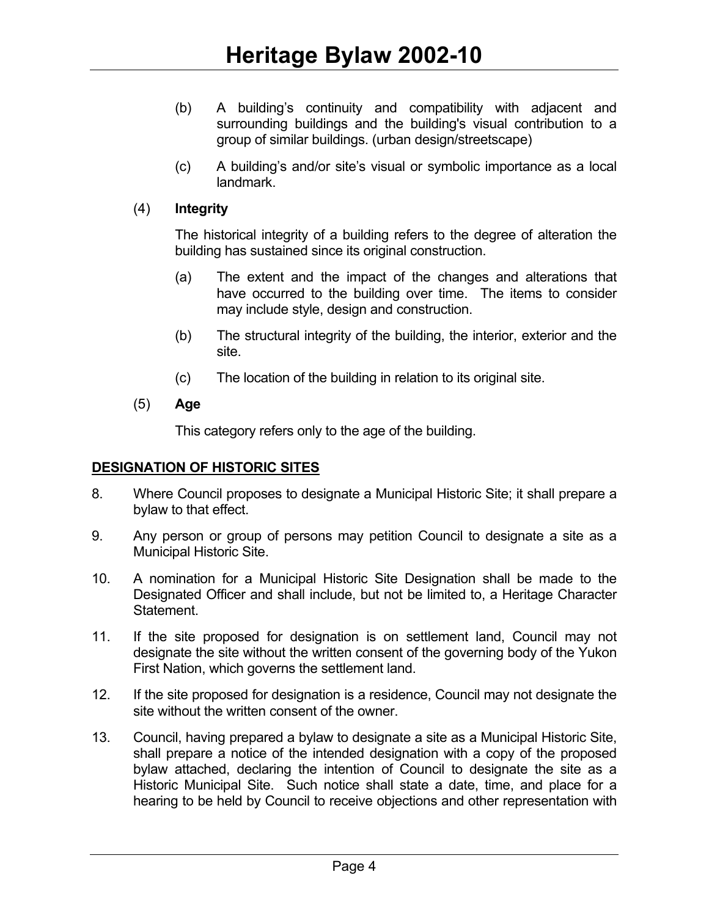- (b) A building's continuity and compatibility with adjacent and surrounding buildings and the building's visual contribution to a group of similar buildings. (urban design/streetscape)
- (c) A building's and/or site's visual or symbolic importance as a local landmark.

#### (4) **Integrity**

The historical integrity of a building refers to the degree of alteration the building has sustained since its original construction.

- (a) The extent and the impact of the changes and alterations that have occurred to the building over time. The items to consider may include style, design and construction.
- (b) The structural integrity of the building, the interior, exterior and the site.
- (c) The location of the building in relation to its original site.
- (5) **Age**

This category refers only to the age of the building.

### **DESIGNATION OF HISTORIC SITES**

- 8. Where Council proposes to designate a Municipal Historic Site; it shall prepare a bylaw to that effect.
- 9. Any person or group of persons may petition Council to designate a site as a Municipal Historic Site.
- 10. A nomination for a Municipal Historic Site Designation shall be made to the Designated Officer and shall include, but not be limited to, a Heritage Character Statement.
- 11. If the site proposed for designation is on settlement land, Council may not designate the site without the written consent of the governing body of the Yukon First Nation, which governs the settlement land.
- 12. If the site proposed for designation is a residence, Council may not designate the site without the written consent of the owner.
- 13. Council, having prepared a bylaw to designate a site as a Municipal Historic Site, shall prepare a notice of the intended designation with a copy of the proposed bylaw attached, declaring the intention of Council to designate the site as a Historic Municipal Site. Such notice shall state a date, time, and place for a hearing to be held by Council to receive objections and other representation with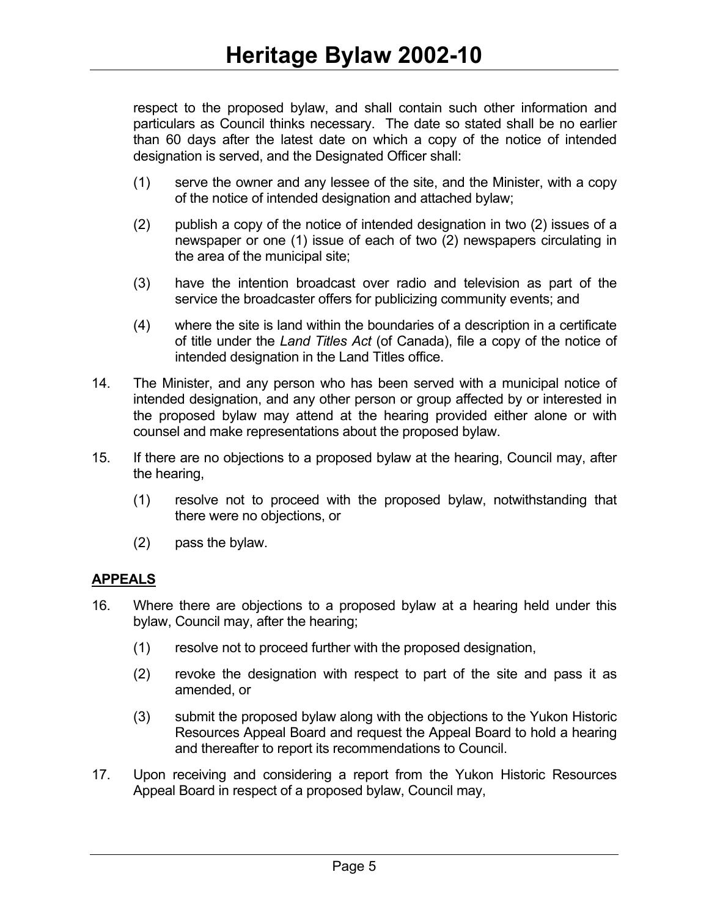respect to the proposed bylaw, and shall contain such other information and particulars as Council thinks necessary. The date so stated shall be no earlier than 60 days after the latest date on which a copy of the notice of intended designation is served, and the Designated Officer shall:

- (1) serve the owner and any lessee of the site, and the Minister, with a copy of the notice of intended designation and attached bylaw;
- (2) publish a copy of the notice of intended designation in two (2) issues of a newspaper or one (1) issue of each of two (2) newspapers circulating in the area of the municipal site;
- (3) have the intention broadcast over radio and television as part of the service the broadcaster offers for publicizing community events; and
- (4) where the site is land within the boundaries of a description in a certificate of title under the *Land Titles Act* (of Canada), file a copy of the notice of intended designation in the Land Titles office.
- 14. The Minister, and any person who has been served with a municipal notice of intended designation, and any other person or group affected by or interested in the proposed bylaw may attend at the hearing provided either alone or with counsel and make representations about the proposed bylaw.
- 15. If there are no objections to a proposed bylaw at the hearing, Council may, after the hearing,
	- (1) resolve not to proceed with the proposed bylaw, notwithstanding that there were no objections, or
	- (2) pass the bylaw.

### **APPEALS**

- 16. Where there are objections to a proposed bylaw at a hearing held under this bylaw, Council may, after the hearing;
	- (1) resolve not to proceed further with the proposed designation,
	- (2) revoke the designation with respect to part of the site and pass it as amended, or
	- (3) submit the proposed bylaw along with the objections to the Yukon Historic Resources Appeal Board and request the Appeal Board to hold a hearing and thereafter to report its recommendations to Council.
- 17. Upon receiving and considering a report from the Yukon Historic Resources Appeal Board in respect of a proposed bylaw, Council may,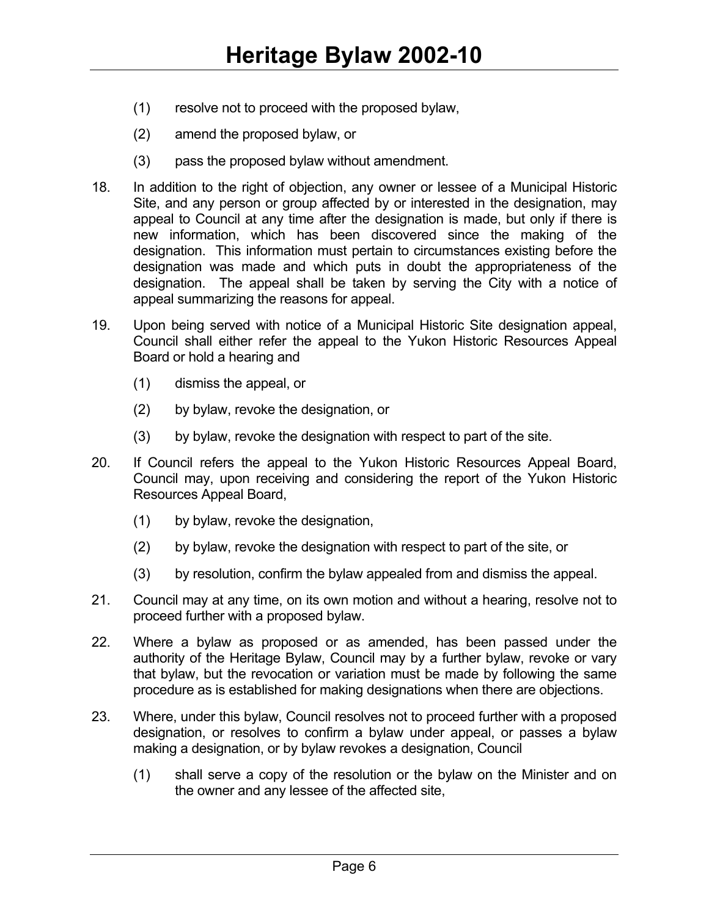- (1) resolve not to proceed with the proposed bylaw,
- (2) amend the proposed bylaw, or
- (3) pass the proposed bylaw without amendment.
- 18. In addition to the right of objection, any owner or lessee of a Municipal Historic Site, and any person or group affected by or interested in the designation, may appeal to Council at any time after the designation is made, but only if there is new information, which has been discovered since the making of the designation. This information must pertain to circumstances existing before the designation was made and which puts in doubt the appropriateness of the designation. The appeal shall be taken by serving the City with a notice of appeal summarizing the reasons for appeal.
- 19. Upon being served with notice of a Municipal Historic Site designation appeal, Council shall either refer the appeal to the Yukon Historic Resources Appeal Board or hold a hearing and
	- (1) dismiss the appeal, or
	- (2) by bylaw, revoke the designation, or
	- (3) by bylaw, revoke the designation with respect to part of the site.
- 20. If Council refers the appeal to the Yukon Historic Resources Appeal Board, Council may, upon receiving and considering the report of the Yukon Historic Resources Appeal Board,
	- (1) by bylaw, revoke the designation,
	- (2) by bylaw, revoke the designation with respect to part of the site, or
	- (3) by resolution, confirm the bylaw appealed from and dismiss the appeal.
- 21. Council may at any time, on its own motion and without a hearing, resolve not to proceed further with a proposed bylaw.
- 22. Where a bylaw as proposed or as amended, has been passed under the authority of the Heritage Bylaw, Council may by a further bylaw, revoke or vary that bylaw, but the revocation or variation must be made by following the same procedure as is established for making designations when there are objections.
- 23. Where, under this bylaw, Council resolves not to proceed further with a proposed designation, or resolves to confirm a bylaw under appeal, or passes a bylaw making a designation, or by bylaw revokes a designation, Council
	- (1) shall serve a copy of the resolution or the bylaw on the Minister and on the owner and any lessee of the affected site,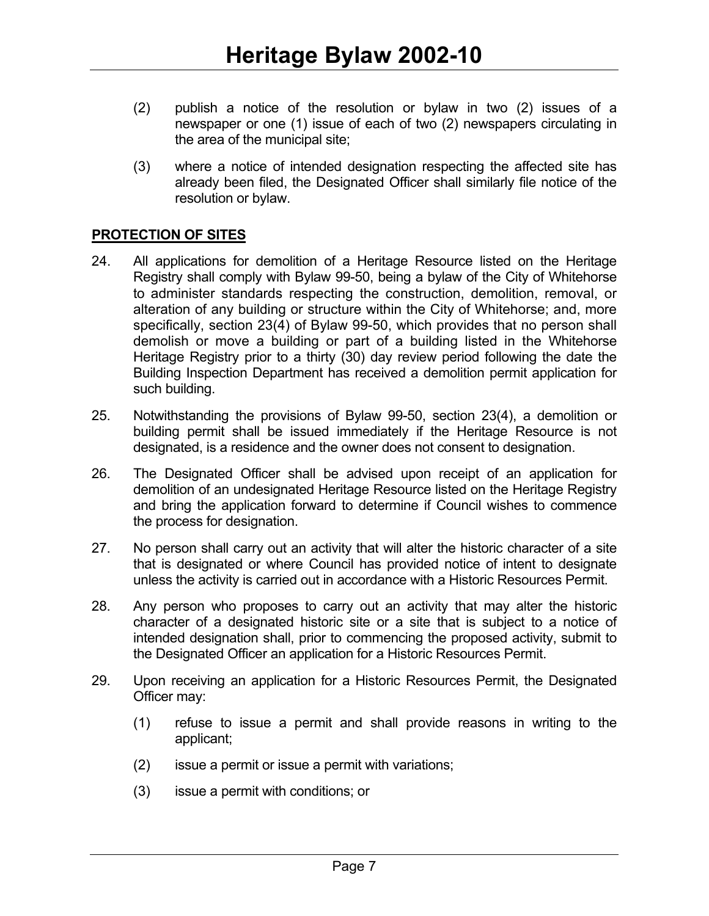- (2) publish a notice of the resolution or bylaw in two (2) issues of a newspaper or one (1) issue of each of two (2) newspapers circulating in the area of the municipal site;
- (3) where a notice of intended designation respecting the affected site has already been filed, the Designated Officer shall similarly file notice of the resolution or bylaw.

### **PROTECTION OF SITES**

- 24. All applications for demolition of a Heritage Resource listed on the Heritage Registry shall comply with Bylaw 99-50, being a bylaw of the City of Whitehorse to administer standards respecting the construction, demolition, removal, or alteration of any building or structure within the City of Whitehorse; and, more specifically, section 23(4) of Bylaw 99-50, which provides that no person shall demolish or move a building or part of a building listed in the Whitehorse Heritage Registry prior to a thirty (30) day review period following the date the Building Inspection Department has received a demolition permit application for such building.
- 25. Notwithstanding the provisions of Bylaw 99-50, section 23(4), a demolition or building permit shall be issued immediately if the Heritage Resource is not designated, is a residence and the owner does not consent to designation.
- 26. The Designated Officer shall be advised upon receipt of an application for demolition of an undesignated Heritage Resource listed on the Heritage Registry and bring the application forward to determine if Council wishes to commence the process for designation.
- 27. No person shall carry out an activity that will alter the historic character of a site that is designated or where Council has provided notice of intent to designate unless the activity is carried out in accordance with a Historic Resources Permit.
- 28. Any person who proposes to carry out an activity that may alter the historic character of a designated historic site or a site that is subject to a notice of intended designation shall, prior to commencing the proposed activity, submit to the Designated Officer an application for a Historic Resources Permit.
- 29. Upon receiving an application for a Historic Resources Permit, the Designated Officer may:
	- (1) refuse to issue a permit and shall provide reasons in writing to the applicant;
	- (2) issue a permit or issue a permit with variations;
	- (3) issue a permit with conditions; or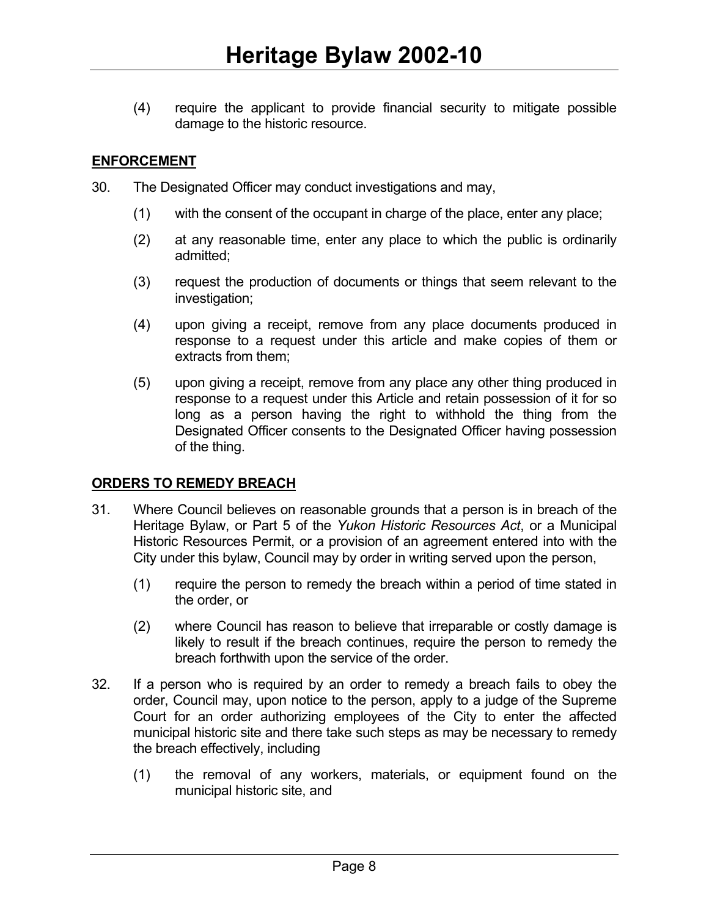(4) require the applicant to provide financial security to mitigate possible damage to the historic resource.

#### **ENFORCEMENT**

- 30. The Designated Officer may conduct investigations and may,
	- (1) with the consent of the occupant in charge of the place, enter any place;
	- (2) at any reasonable time, enter any place to which the public is ordinarily admitted;
	- (3) request the production of documents or things that seem relevant to the investigation;
	- (4) upon giving a receipt, remove from any place documents produced in response to a request under this article and make copies of them or extracts from them;
	- (5) upon giving a receipt, remove from any place any other thing produced in response to a request under this Article and retain possession of it for so long as a person having the right to withhold the thing from the Designated Officer consents to the Designated Officer having possession of the thing.

### **ORDERS TO REMEDY BREACH**

- 31. Where Council believes on reasonable grounds that a person is in breach of the Heritage Bylaw, or Part 5 of the *Yukon Historic Resources Act*, or a Municipal Historic Resources Permit, or a provision of an agreement entered into with the City under this bylaw, Council may by order in writing served upon the person,
	- (1) require the person to remedy the breach within a period of time stated in the order, or
	- (2) where Council has reason to believe that irreparable or costly damage is likely to result if the breach continues, require the person to remedy the breach forthwith upon the service of the order.
- 32. If a person who is required by an order to remedy a breach fails to obey the order, Council may, upon notice to the person, apply to a judge of the Supreme Court for an order authorizing employees of the City to enter the affected municipal historic site and there take such steps as may be necessary to remedy the breach effectively, including
	- (1) the removal of any workers, materials, or equipment found on the municipal historic site, and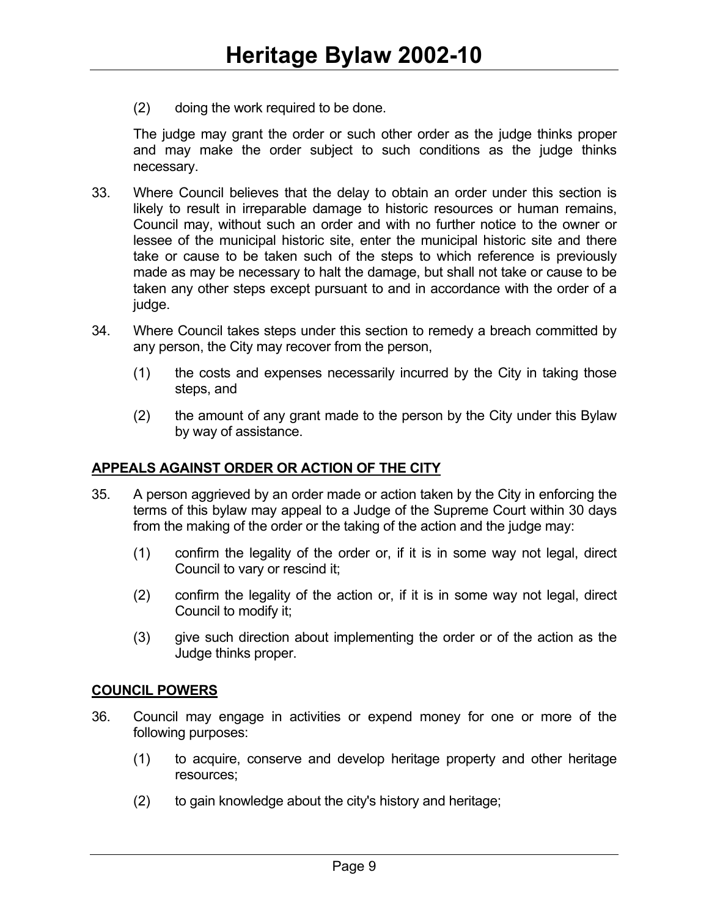(2) doing the work required to be done.

The judge may grant the order or such other order as the judge thinks proper and may make the order subject to such conditions as the judge thinks necessary.

- 33. Where Council believes that the delay to obtain an order under this section is likely to result in irreparable damage to historic resources or human remains, Council may, without such an order and with no further notice to the owner or lessee of the municipal historic site, enter the municipal historic site and there take or cause to be taken such of the steps to which reference is previously made as may be necessary to halt the damage, but shall not take or cause to be taken any other steps except pursuant to and in accordance with the order of a judge.
- 34. Where Council takes steps under this section to remedy a breach committed by any person, the City may recover from the person,
	- (1) the costs and expenses necessarily incurred by the City in taking those steps, and
	- (2) the amount of any grant made to the person by the City under this Bylaw by way of assistance.

### **APPEALS AGAINST ORDER OR ACTION OF THE CITY**

- 35. A person aggrieved by an order made or action taken by the City in enforcing the terms of this bylaw may appeal to a Judge of the Supreme Court within 30 days from the making of the order or the taking of the action and the judge may:
	- (1) confirm the legality of the order or, if it is in some way not legal, direct Council to vary or rescind it;
	- (2) confirm the legality of the action or, if it is in some way not legal, direct Council to modify it;
	- (3) give such direction about implementing the order or of the action as the Judge thinks proper.

#### **COUNCIL POWERS**

- 36. Council may engage in activities or expend money for one or more of the following purposes:
	- (1) to acquire, conserve and develop heritage property and other heritage resources;
	- (2) to gain knowledge about the city's history and heritage;